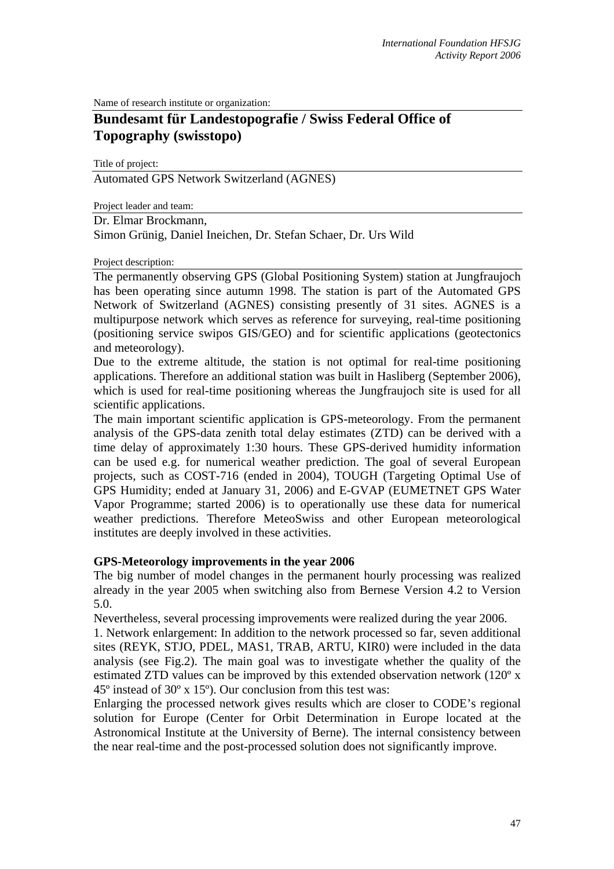Name of research institute or organization:

# **Bundesamt für Landestopografie / Swiss Federal Office of Topography (swisstopo)**

Title of project: Automated GPS Network Switzerland (AGNES)

Project leader and team:

Dr. Elmar Brockmann,

Simon Grünig, Daniel Ineichen, Dr. Stefan Schaer, Dr. Urs Wild

#### Project description:

The permanently observing GPS (Global Positioning System) station at Jungfraujoch has been operating since autumn 1998. The station is part of the Automated GPS Network of Switzerland (AGNES) consisting presently of 31 sites. AGNES is a multipurpose network which serves as reference for surveying, real-time positioning (positioning service swipos GIS/GEO) and for scientific applications (geotectonics and meteorology).

Due to the extreme altitude, the station is not optimal for real-time positioning applications. Therefore an additional station was built in Hasliberg (September 2006), which is used for real-time positioning whereas the Jungfraujoch site is used for all scientific applications.

The main important scientific application is GPS-meteorology. From the permanent analysis of the GPS-data zenith total delay estimates (ZTD) can be derived with a time delay of approximately 1:30 hours. These GPS-derived humidity information can be used e.g. for numerical weather prediction. The goal of several European projects, such as COST-716 (ended in 2004), TOUGH (Targeting Optimal Use of GPS Humidity; ended at January 31, 2006) and E-GVAP (EUMETNET GPS Water Vapor Programme; started 2006) is to operationally use these data for numerical weather predictions. Therefore MeteoSwiss and other European meteorological institutes are deeply involved in these activities.

#### **GPS-Meteorology improvements in the year 2006**

The big number of model changes in the permanent hourly processing was realized already in the year 2005 when switching also from Bernese Version 4.2 to Version 5.0.

Nevertheless, several processing improvements were realized during the year 2006.

1. Network enlargement: In addition to the network processed so far, seven additional sites (REYK, STJO, PDEL, MAS1, TRAB, ARTU, KIR0) were included in the data analysis (see Fig.2). The main goal was to investigate whether the quality of the estimated ZTD values can be improved by this extended observation network (120<sup>°</sup> x 45º instead of 30º x 15º). Our conclusion from this test was:

Enlarging the processed network gives results which are closer to CODE's regional solution for Europe (Center for Orbit Determination in Europe located at the Astronomical Institute at the University of Berne). The internal consistency between the near real-time and the post-processed solution does not significantly improve.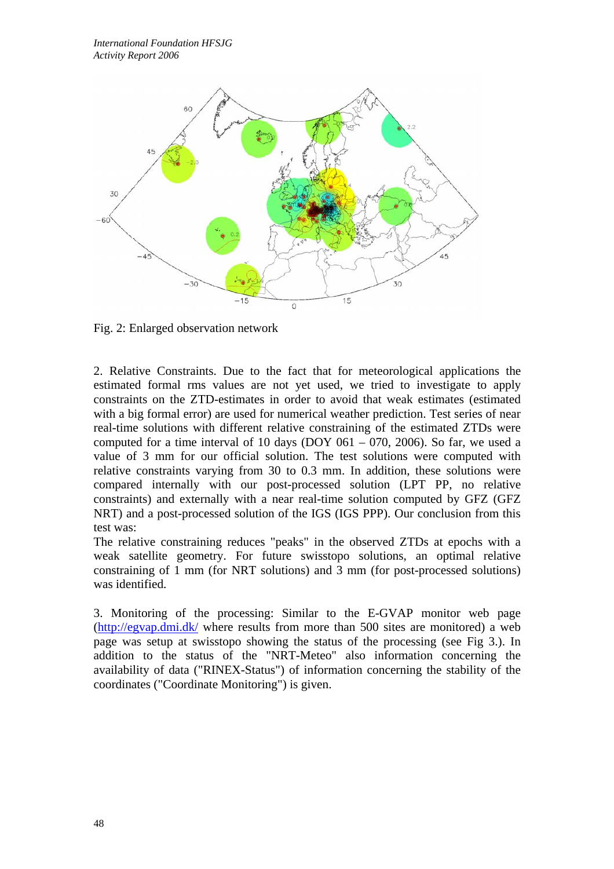

Fig. 2: Enlarged observation network

2. Relative Constraints. Due to the fact that for meteorological applications the estimated formal rms values are not yet used, we tried to investigate to apply constraints on the ZTD-estimates in order to avoid that weak estimates (estimated with a big formal error) are used for numerical weather prediction. Test series of near real-time solutions with different relative constraining of the estimated ZTDs were computed for a time interval of 10 days (DOY  $061 - 070$ , 2006). So far, we used a value of 3 mm for our official solution. The test solutions were computed with relative constraints varying from 30 to 0.3 mm. In addition, these solutions were compared internally with our post-processed solution (LPT PP, no relative constraints) and externally with a near real-time solution computed by GFZ (GFZ NRT) and a post-processed solution of the IGS (IGS PPP). Our conclusion from this test was:

The relative constraining reduces "peaks" in the observed ZTDs at epochs with a weak satellite geometry. For future swisstopo solutions, an optimal relative constraining of 1 mm (for NRT solutions) and 3 mm (for post-processed solutions) was identified.

3. Monitoring of the processing: Similar to the E-GVAP monitor web page (http://egvap.dmi.dk/ where results from more than 500 sites are monitored) a web page was setup at swisstopo showing the status of the processing (see Fig 3.). In addition to the status of the "NRT-Meteo" also information concerning the availability of data ("RINEX-Status") of information concerning the stability of the coordinates ("Coordinate Monitoring") is given.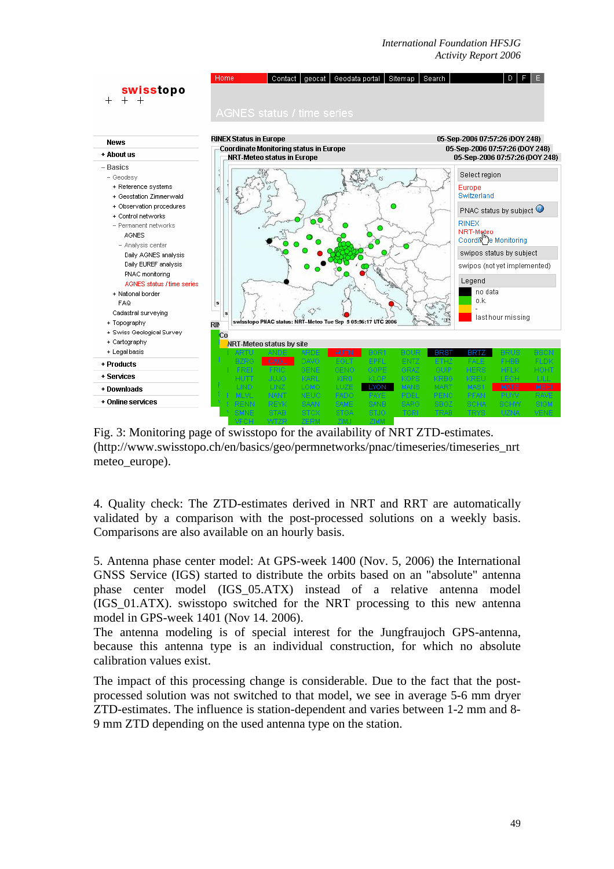*International Foundation HFSJG Activity Report 2006*



Fig. 3: Monitoring page of swisstopo for the availability of NRT ZTD-estimates. (http://www.swisstopo.ch/en/basics/geo/permnetworks/pnac/timeseries/timeseries\_nrt meteo\_europe).

4. Quality check: The ZTD-estimates derived in NRT and RRT are automatically validated by a comparison with the post-processed solutions on a weekly basis. Comparisons are also available on an hourly basis.

5. Antenna phase center model: At GPS-week 1400 (Nov. 5, 2006) the International GNSS Service (IGS) started to distribute the orbits based on an "absolute" antenna phase center model (IGS\_05.ATX) instead of a relative antenna model (IGS\_01.ATX). swisstopo switched for the NRT processing to this new antenna model in GPS-week 1401 (Nov 14. 2006).

The antenna modeling is of special interest for the Jungfraujoch GPS-antenna, because this antenna type is an individual construction, for which no absolute calibration values exist.

The impact of this processing change is considerable. Due to the fact that the postprocessed solution was not switched to that model, we see in average 5-6 mm dryer ZTD-estimates. The influence is station-dependent and varies between 1-2 mm and 8- 9 mm ZTD depending on the used antenna type on the station.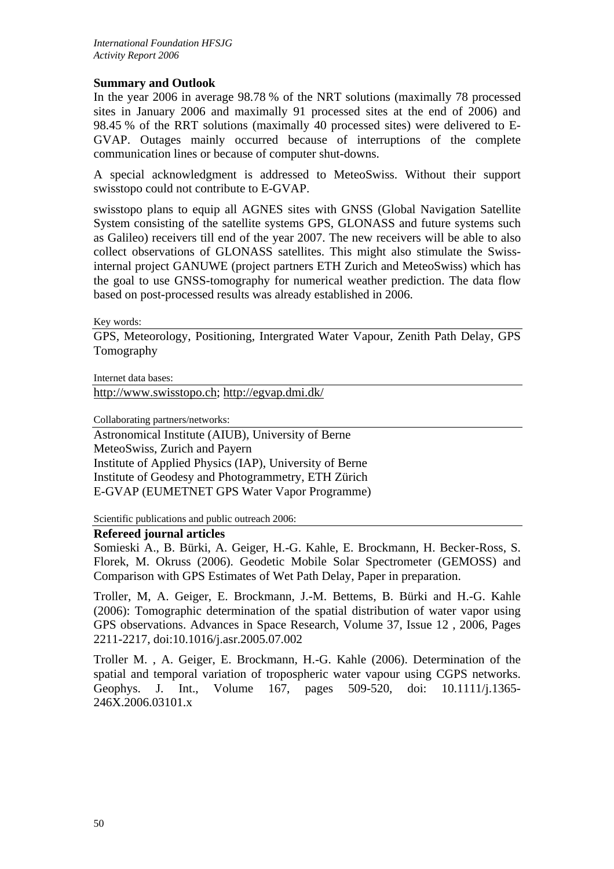## **Summary and Outlook**

In the year 2006 in average 98.78 % of the NRT solutions (maximally 78 processed sites in January 2006 and maximally 91 processed sites at the end of 2006) and 98.45 % of the RRT solutions (maximally 40 processed sites) were delivered to E-GVAP. Outages mainly occurred because of interruptions of the complete communication lines or because of computer shut-downs.

A special acknowledgment is addressed to MeteoSwiss. Without their support swisstopo could not contribute to E-GVAP.

swisstopo plans to equip all AGNES sites with GNSS (Global Navigation Satellite System consisting of the satellite systems GPS, GLONASS and future systems such as Galileo) receivers till end of the year 2007. The new receivers will be able to also collect observations of GLONASS satellites. This might also stimulate the Swissinternal project GANUWE (project partners ETH Zurich and MeteoSwiss) which has the goal to use GNSS-tomography for numerical weather prediction. The data flow based on post-processed results was already established in 2006.

Key words:

GPS, Meteorology, Positioning, Intergrated Water Vapour, Zenith Path Delay, GPS Tomography

Internet data bases:

http://www.swisstopo.ch; http://egvap.dmi.dk/

Collaborating partners/networks:

Astronomical Institute (AIUB), University of Berne MeteoSwiss, Zurich and Payern Institute of Applied Physics (IAP), University of Berne Institute of Geodesy and Photogrammetry, ETH Zürich E-GVAP (EUMETNET GPS Water Vapor Programme)

Scientific publications and public outreach 2006:

#### **Refereed journal articles**

Somieski A., B. Bürki, A. Geiger, H.-G. Kahle, E. Brockmann, H. Becker-Ross, S. Florek, M. Okruss (2006). Geodetic Mobile Solar Spectrometer (GEMOSS) and Comparison with GPS Estimates of Wet Path Delay, Paper in preparation.

Troller, M, A. Geiger, E. Brockmann, J.-M. Bettems, B. Bürki and H.-G. Kahle (2006): Tomographic determination of the spatial distribution of water vapor using GPS observations. Advances in Space Research, Volume 37, Issue 12 , 2006, Pages 2211-2217, doi:10.1016/j.asr.2005.07.002

Troller M. , A. Geiger, E. Brockmann, H.-G. Kahle (2006). Determination of the spatial and temporal variation of tropospheric water vapour using CGPS networks. Geophys. J. Int., Volume 167, pages 509-520, doi: 10.1111/j.1365- 246X.2006.03101.x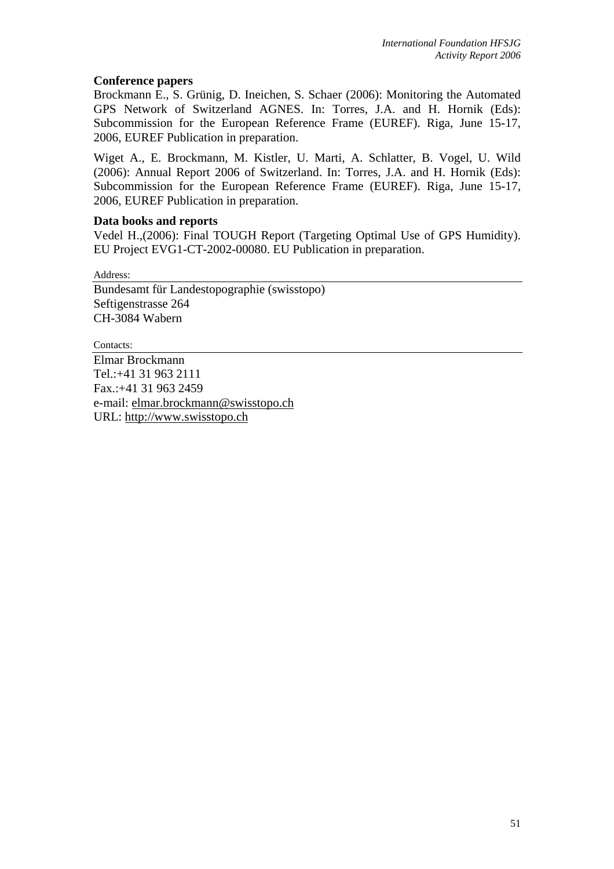### **Conference papers**

Brockmann E., S. Grünig, D. Ineichen, S. Schaer (2006): Monitoring the Automated GPS Network of Switzerland AGNES. In: Torres, J.A. and H. Hornik (Eds): Subcommission for the European Reference Frame (EUREF). Riga, June 15-17, 2006, EUREF Publication in preparation.

Wiget A., E. Brockmann, M. Kistler, U. Marti, A. Schlatter, B. Vogel, U. Wild (2006): Annual Report 2006 of Switzerland. In: Torres, J.A. and H. Hornik (Eds): Subcommission for the European Reference Frame (EUREF). Riga, June 15-17, 2006, EUREF Publication in preparation.

## **Data books and reports**

Vedel H.,(2006): Final TOUGH Report (Targeting Optimal Use of GPS Humidity). EU Project EVG1-CT-2002-00080. EU Publication in preparation.

Address:

Bundesamt für Landestopographie (swisstopo) Seftigenstrasse 264 CH-3084 Wabern

Contacts: Elmar Brockmann Tel.:+41 31 963 2111 Fax.:+41 31 963 2459 e-mail: elmar.brockmann@swisstopo.ch URL: http://www.swisstopo.ch